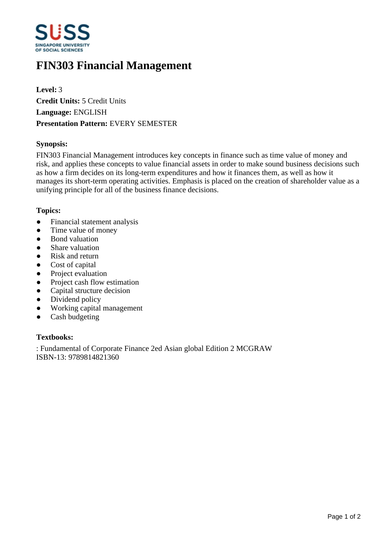

# **FIN303 Financial Management**

**Level:** 3 **Credit Units:** 5 Credit Units **Language:** ENGLISH **Presentation Pattern:** EVERY SEMESTER

#### **Synopsis:**

FIN303 Financial Management introduces key concepts in finance such as time value of money and risk, and applies these concepts to value financial assets in order to make sound business decisions such as how a firm decides on its long-term expenditures and how it finances them, as well as how it manages its short-term operating activities. Emphasis is placed on the creation of shareholder value as a unifying principle for all of the business finance decisions.

#### **Topics:**

- Financial statement analysis
- Time value of money
- Bond valuation
- Share valuation
- Risk and return
- Cost of capital
- Project evaluation
- Project cash flow estimation
- Capital structure decision
- Dividend policy
- Working capital management
- Cash budgeting

### **Textbooks:**

: Fundamental of Corporate Finance 2ed Asian global Edition 2 MCGRAW ISBN-13: 9789814821360